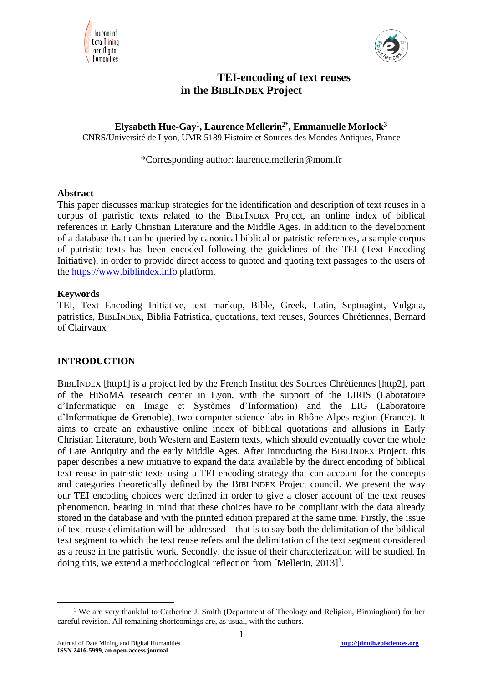



# **TEI-encoding of text reuses in the BIBLINDEX Project**

**Elysabeth Hue-Gay<sup>1</sup> , Laurence Mellerin2\* , Emmanuelle Morlock<sup>3</sup>** CNRS/Université de Lyon, UMR 5189 Histoire et Sources des Mondes Antiques, France

\*Corresponding author: laurence.mellerin@mom.fr

### **Abstract**

This paper discusses markup strategies for the identification and description of text reuses in a corpus of patristic texts related to the BIBLINDEX Project, an online index of biblical references in Early Christian Literature and the Middle Ages. In addition to the development of a database that can be queried by canonical biblical or patristic references, a sample corpus of patristic texts has been encoded following the guidelines of the TEI (Text Encoding Initiative), in order to provide direct access to quoted and quoting text passages to the users of the [https://www.biblindex.info](https://www.biblindex.info/) platform.

#### **Keywords**

TEI, Text Encoding Initiative, text markup, Bible, Greek, Latin, Septuagint, Vulgata, patristics, BIBLINDEX, Biblia Patristica, quotations, text reuses, Sources Chrétiennes, Bernard of Clairvaux

### **INTRODUCTION**

BIBLINDEX [http1] is a project led by the French Institut des Sources Chrétiennes [http2], part of the HiSoMA research center in Lyon, with the support of the LIRIS (Laboratoire d'Informatique en Image et Systèmes d'Information) and the LIG (Laboratoire d'Informatique de Grenoble), two computer science labs in Rhône-Alpes region (France). It aims to create an exhaustive online index of biblical quotations and allusions in Early Christian Literature, both Western and Eastern texts, which should eventually cover the whole of Late Antiquity and the early Middle Ages. After introducing the BIBLINDEX Project, this paper describes a new initiative to expand the data available by the direct encoding of biblical text reuse in patristic texts using a TEI encoding strategy that can account for the concepts and categories theoretically defined by the BIBLINDEX Project council. We present the way our TEI encoding choices were defined in order to give a closer account of the text reuses phenomenon, bearing in mind that these choices have to be compliant with the data already stored in the database and with the printed edition prepared at the same time. Firstly, the issue of text reuse delimitation will be addressed – that is to say both the delimitation of the biblical text segment to which the text reuse refers and the delimitation of the text segment considered as a reuse in the patristic work. Secondly, the issue of their characterization will be studied. In doing this, we extend a methodological reflection from [Mellerin,  $2013$ ]<sup>1</sup>.

<sup>&</sup>lt;u>.</u> <sup>1</sup> We are very thankful to Catherine J. Smith (Department of Theology and Religion, Birmingham) for her careful revision. All remaining shortcomings are, as usual, with the authors.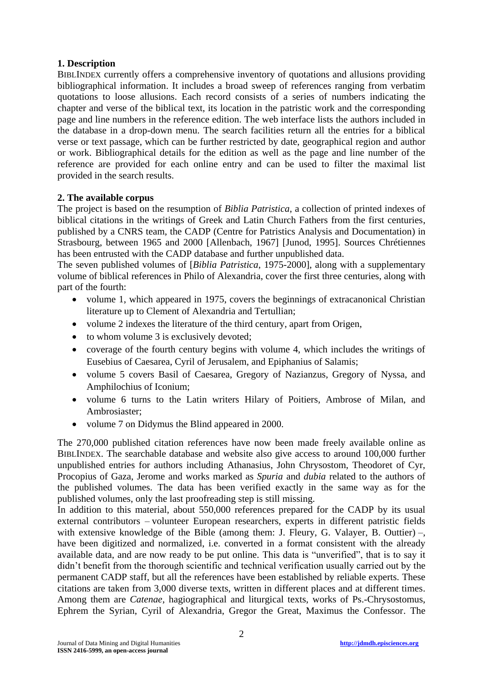## **1. Description**

BIBLINDEX currently offers a comprehensive inventory of quotations and allusions providing bibliographical information. It includes a broad sweep of references ranging from verbatim quotations to loose allusions. Each record consists of a series of numbers indicating the chapter and verse of the biblical text, its location in the patristic work and the corresponding page and line numbers in the reference edition. The web interface lists the authors included in the database in a drop-down menu. The search facilities return all the entries for a biblical verse or text passage, which can be further restricted by date, geographical region and author or work. Bibliographical details for the edition as well as the page and line number of the reference are provided for each online entry and can be used to filter the maximal list provided in the search results.

## **2. The available corpus**

The project is based on the resumption of *Biblia Patristica*, a collection of printed indexes of biblical citations in the writings of Greek and Latin Church Fathers from the first centuries, published by a CNRS team, the CADP [\(Centre for Patristics Analysis and Documentation\)](http://theopro.unistra.fr/recherche/histoire-du-christianisme/cadp/) in Strasbourg, between 1965 and 2000 [Allenbach, 1967] [Junod, 1995]. Sources Chrétiennes has been entrusted with the CADP database and further unpublished data.

The seven published volumes of [*Biblia Patristica*, 1975-2000], along with a supplementary volume of biblical references in Philo of Alexandria, cover the first three centuries, along with part of the fourth:

- volume 1, which appeared in 1975, covers the beginnings of extracanonical Christian literature up to Clement of Alexandria and Tertullian;
- volume 2 indexes the literature of the third century, apart from Origen,
- to whom volume 3 is exclusively devoted;
- coverage of the fourth century begins with volume 4, which includes the writings of Eusebius of Caesarea, Cyril of Jerusalem, and Epiphanius of Salamis;
- volume 5 covers Basil of Caesarea, Gregory of Nazianzus, Gregory of Nyssa, and Amphilochius of Iconium;
- volume 6 turns to the Latin writers Hilary of Poitiers, Ambrose of Milan, and Ambrosiaster;
- volume 7 on Didymus the Blind appeared in 2000.

The 270,000 published citation references have now been made freely available online as BIBLINDEX. The searchable database and website also give access to around 100,000 further unpublished entries for authors including Athanasius, John Chrysostom, Theodoret of Cyr, Procopius of Gaza, Jerome and works marked as *Spuria* and *dubia* related to the authors of the published volumes. The data has been verified exactly in the same way as for the published volumes, only the last proofreading step is still missing.

In addition to this material, about 550,000 references prepared for the CADP by its usual external contributors – volunteer European researchers, experts in different patristic fields with extensive knowledge of the Bible (among them: J. Fleury, G. Valayer, B. Outtier) –, have been digitized and normalized, i.e. converted in a format consistent with the already available data, and are now ready to be put online. This data is "unverified", that is to say it didn't benefit from the thorough scientific and technical verification usually carried out by the permanent CADP staff, but all the references have been established by reliable experts. These citations are taken from 3,000 diverse texts, written in different places and at different times. Among them are *Catenae*, hagiographical and liturgical texts, works of Ps.-Chrysostomus, Ephrem the Syrian, Cyril of Alexandria, Gregor the Great, Maximus the Confessor. The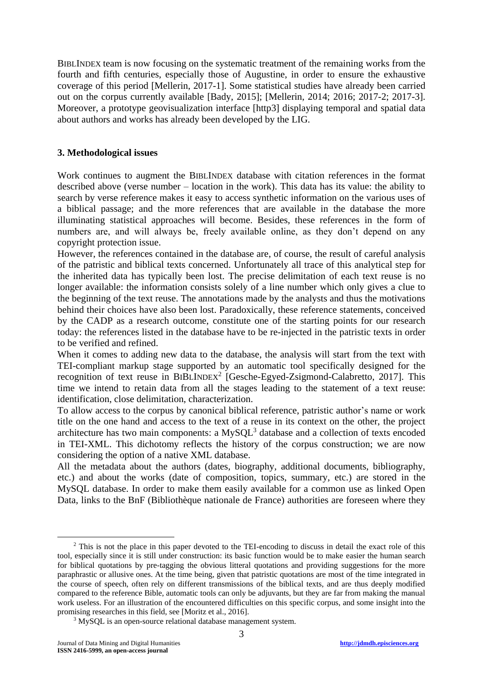BIBLINDEX team is now focusing on the systematic treatment of the remaining works from the fourth and fifth centuries, especially those of Augustine, in order to ensure the exhaustive coverage of this period [Mellerin, 2017-1]. Some statistical studies have already been carried out on the corpus currently available [Bady, 2015]; [Mellerin, 2014; 2016; 2017-2; 2017-3]. Moreover, a prototype geovisualization interface [http3] displaying temporal and spatial data about authors and works has already been developed by the LIG.

#### **3. Methodological issues**

Work continues to augment the BIBLINDEX database with citation references in the format described above (verse number – location in the work). This data has its value: the ability to search by verse reference makes it easy to access synthetic information on the various uses of a biblical passage; and the more references that are available in the database the more illuminating statistical approaches will become. Besides, these references in the form of numbers are, and will always be, freely available online, as they don't depend on any copyright protection issue.

However, the references contained in the database are, of course, the result of careful analysis of the patristic and biblical texts concerned. Unfortunately all trace of this analytical step for the inherited data has typically been lost. The precise delimitation of each text reuse is no longer available: the information consists solely of a line number which only gives a clue to the beginning of the text reuse. The annotations made by the analysts and thus the motivations behind their choices have also been lost. Paradoxically, these reference statements, conceived by the CADP as a research outcome, constitute one of the starting points for our research today: the references listed in the database have to be re-injected in the patristic texts in order to be verified and refined.

When it comes to adding new data to the database, the analysis will start from the text with TEI-compliant markup stage supported by an automatic tool specifically designed for the recognition of text reuse in BIBLINDEX<sup>2</sup> [Gesche-Egyed-Zsigmond-Calabretto, 2017]. This time we intend to retain data from all the stages leading to the statement of a text reuse: identification, close delimitation, characterization.

To allow access to the corpus by canonical biblical reference, patristic author's name or work title on the one hand and access to the text of a reuse in its context on the other, the project architecture has two main components: a  $MySQL^3$  database and a collection of texts encoded in TEI-XML. This dichotomy reflects the history of the corpus construction; we are now considering the option of a native XML database.

All the metadata about the authors (dates, biography, additional documents, bibliography, etc.) and about the works (date of composition, topics, summary, etc.) are stored in the MySQL database. In order to make them easily available for a common use as linked Open Data, links to the BnF (Bibliothèque nationale de France) authorities are foreseen where they

<sup>&</sup>lt;sup>2</sup> This is not the place in this paper devoted to the TEI-encoding to discuss in detail the exact role of this tool, especially since it is still under construction: its basic function would be to make easier the human search for biblical quotations by pre-tagging the obvious litteral quotations and providing suggestions for the more paraphrastic or allusive ones. At the time being, given that patristic quotations are most of the time integrated in the course of speech, often rely on different transmissions of the biblical texts, and are thus deeply modified compared to the reference Bible, automatic tools can only be adjuvants, but they are far from making the manual work useless. For an illustration of the encountered difficulties on this specific corpus, and some insight into the promising researches in this field, see [Moritz et al., 2016].

<sup>&</sup>lt;sup>3</sup> MySQL is an open-source relational database management system.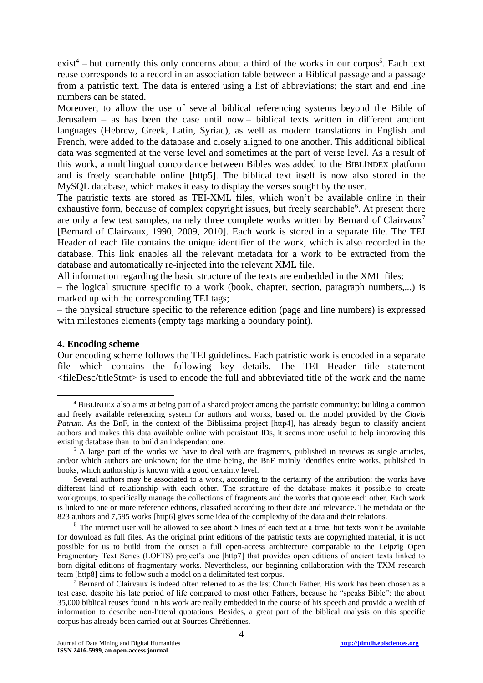$exist^4$  – but currently this only concerns about a third of the works in our corpus<sup>5</sup>. Each text reuse corresponds to a record in an association table between a Biblical passage and a passage from a patristic text. The data is entered using a list of abbreviations; the start and end line numbers can be stated.

Moreover, to allow the use of several biblical referencing systems beyond the Bible of Jerusalem – as has been the case until now – biblical texts written in different ancient languages (Hebrew, Greek, Latin, Syriac), as well as modern translations in English and French, were added to the database and closely aligned to one another. This additional biblical data was segmented at the verse level and sometimes at the part of verse level. As a result of this work, a multilingual concordance between Bibles was added to the BIBLINDEX platform and is freely searchable online [http5]. The biblical text itself is now also stored in the MySQL database, which makes it easy to display the verses sought by the user.

The patristic texts are stored as TEI-XML files, which won't be available online in their exhaustive form, because of complex copyright issues, but freely searchable<sup>6</sup>. At present there are only a few test samples, namely three complete works written by Bernard of Clairvaux<sup>7</sup> [Bernard of Clairvaux, 1990, 2009, 2010]. Each work is stored in a separate file. The TEI Header of each file contains the unique identifier of the work, which is also recorded in the database. This link enables all the relevant metadata for a work to be extracted from the database and automatically re-injected into the relevant XML file.

All information regarding the basic structure of the texts are embedded in the XML files:

– the logical structure specific to a work (book, chapter, section, paragraph numbers,...) is marked up with the corresponding TEI tags;

– the physical structure specific to the reference edition (page and line numbers) is expressed with milestones elements (empty tags marking a boundary point).

#### **4. Encoding scheme**

<u>.</u>

Our encoding scheme follows the TEI guidelines. Each patristic work is encoded in a separate file which contains the following key details. The TEI Header title statement <fileDesc/titleStmt> is used to encode the full and abbreviated title of the work and the name

<sup>4</sup> BIBLINDEX also aims at being part of a shared project among the patristic community: building a common and freely available referencing system for authors and works, based on the model provided by the *Clavis Patrum*. As the BnF, in the context of the Biblissima project [http4], has already begun to classify ancient authors and makes this data available online with persistant IDs, it seems more useful to help improving this existing database than to build an independant one.

<sup>&</sup>lt;sup>5</sup> A large part of the works we have to deal with are fragments, published in reviews as single articles, and/or which authors are unknown; for the time being, the BnF mainly identifies entire works, published in books, which authorship is known with a good certainty level.

Several authors may be associated to a work, according to the certainty of the attribution; the works have different kind of relationship with each other. The structure of the database makes it possible to create workgroups, to specifically manage the collections of fragments and the works that quote each other. Each work is linked to one or more reference editions, classified according to their date and relevance. The metadata on the 823 authors and 7,585 works [http6] gives some idea of the complexity of the data and their relations.

<sup>&</sup>lt;sup>6</sup> The internet user will be allowed to see about 5 lines of each text at a time, but texts won't be available for download as full files. As the original print editions of the patristic texts are copyrighted material, it is not possible for us to build from the outset a full open-access architecture comparable to the Leipzig Open Fragmentary Text Series (LOFTS) project's one [http7] that provides open editions of ancient texts linked to born-digital editions of fragmentary works. Nevertheless, our beginning collaboration with the TXM research team [http8] aims to follow such a model on a delimitated test corpus.

<sup>&</sup>lt;sup>7</sup> Bernard of Clairvaux is indeed often referred to as the last Church Father. His work has been chosen as a test case, despite his late period of life compared to most other Fathers, because he "speaks Bible": the about 35,000 biblical reuses found in his work are really embedded in the course of his speech and provide a wealth of information to describe non-litteral quotations. Besides, a great part of the biblical analysis on this specific corpus has already been carried out at Sources Chrétiennes.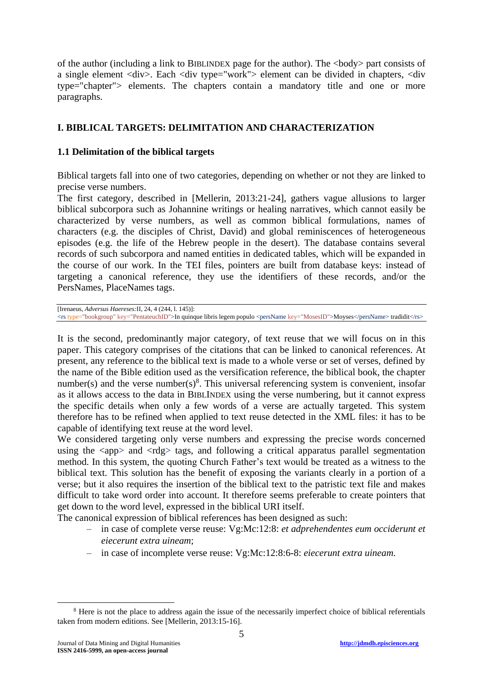of the author (including a link to BIBLINDEX page for the author). The <br/>body> part consists of a single element <div>. Each <div type="work"> element can be divided in chapters, <div type="chapter"> elements. The chapters contain a mandatory title and one or more paragraphs.

## **I. BIBLICAL TARGETS: DELIMITATION AND CHARACTERIZATION**

### **1.1 Delimitation of the biblical targets**

Biblical targets fall into one of two categories, depending on whether or not they are linked to precise verse numbers.

The first category, described in [Mellerin, 2013:21-24], gathers vague allusions to larger biblical subcorpora such as Johannine writings or healing narratives, which cannot easily be characterized by verse numbers, as well as common biblical formulations, names of characters (e.g. the disciples of Christ, David) and global reminiscences of heterogeneous episodes (e.g. the life of the Hebrew people in the desert). The database contains several records of such subcorpora and named entities in dedicated tables, which will be expanded in the course of our work. In the TEI files, pointers are built from database keys: instead of targeting a canonical reference, they use the identifiers of these records, and/or the PersNames, PlaceNames tags.

[Irenaeus, *Adversus Haereses:*II, 24, 4 (244, l. 145)]: <rs type="bookgroup" key="PentateuchID">In quinque libris legem populo <persName key="MosesID">Moyses</persName> tradidit</rs>

It is the second, predominantly major category, of text reuse that we will focus on in this paper. This category comprises of the citations that can be linked to canonical references. At present, any reference to the biblical text is made to a whole verse or set of verses, defined by the name of the Bible edition used as the versification reference, the biblical book, the chapter number(s) and the verse number(s)<sup>8</sup>. This universal referencing system is convenient, insofar as it allows access to the data in BIBLINDEX using the verse numbering, but it cannot express the specific details when only a few words of a verse are actually targeted. This system therefore has to be refined when applied to text reuse detected in the XML files: it has to be capable of identifying text reuse at the word level.

We considered targeting only verse numbers and expressing the precise words concerned using the  $\langle app \rangle$  and  $\langle rdg \rangle$  tags, and following a critical apparatus parallel segmentation method. In this system, the quoting Church Father's text would be treated as a witness to the biblical text. This solution has the benefit of exposing the variants clearly in a portion of a verse; but it also requires the insertion of the biblical text to the patristic text file and makes difficult to take word order into account. It therefore seems preferable to create pointers that get down to the word level, expressed in the biblical URI itself.

The canonical expression of biblical references has been designed as such:

- in case of complete verse reuse: Vg:Mc:12:8: *et adprehendentes eum occiderunt et eiecerunt extra uineam*;
- in case of incomplete verse reuse: Vg:Mc:12:8:6-8: *eiecerunt extra uineam.*

<u>.</u>

<sup>&</sup>lt;sup>8</sup> Here is not the place to address again the issue of the necessarily imperfect choice of biblical referentials taken from modern editions. See [Mellerin, 2013:15-16].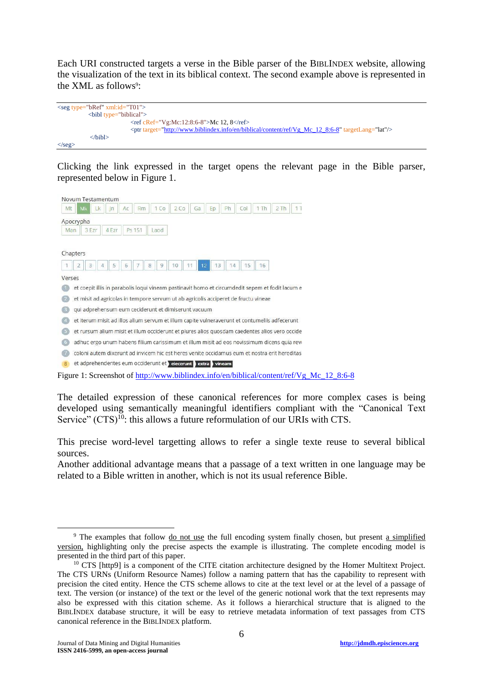Each URI constructed targets a verse in the Bible parser of the BIBLINDEX website, allowing the visualization of the text in its biblical context. The second example above is represented in the XML as follows<sup>9</sup>:



Clicking the link expressed in the target opens the relevant page in the Bible parser, represented below in Figure 1.

|                         | Novum Testamentum                                                                                    |       |    |        |      |     |    |          |    |     |      |     |  |
|-------------------------|------------------------------------------------------------------------------------------------------|-------|----|--------|------|-----|----|----------|----|-----|------|-----|--|
| Mt                      | Lk<br>Mk                                                                                             | $\ln$ | Ac | Rm     | 1 Co | 2CO | Ga | Ep       | Ph | Col | 1 Th | 2Th |  |
| Apocrypha               |                                                                                                      |       |    |        |      |     |    |          |    |     |      |     |  |
| Man                     | 3 Ezr                                                                                                | 4 Ezr |    | Ps 151 | Laod |     |    |          |    |     |      |     |  |
| Chapters<br>1<br>Verses | 3<br>et coepit illis in parabolis loqui vineam pastinavit homo et circumdedit sepem et fodit lacum e | 5     | 6  | 8      | 9    | 10  | 11 | 12<br>13 | 14 | 15  | 16   |     |  |
|                         | et misit ad agricolas in tempore servum ut ab agricolis acciperet de fructu vineae                   |       |    |        |      |     |    |          |    |     |      |     |  |
|                         | qui adprehensum eum ceciderunt et dimiserunt vacuum                                                  |       |    |        |      |     |    |          |    |     |      |     |  |
|                         | et iterum misit ad illos alium servum et illum capite vulneraverunt et contumeliis adfecerunt        |       |    |        |      |     |    |          |    |     |      |     |  |
|                         | et rursum alium misit et illum occiderunt et plures alios quosdam caedentes alios vero occide        |       |    |        |      |     |    |          |    |     |      |     |  |
| 6                       | adhuc ergo unum habens filium carissimum et illum misit ad eos novissimum dicens quia revi           |       |    |        |      |     |    |          |    |     |      |     |  |
|                         | coloni autem dixerunt ad invicem hic est heres venite occidamus eum et nostra erit hereditas         |       |    |        |      |     |    |          |    |     |      |     |  |
| 8                       | et adprehendentes eum occiderunt et eiecerunt extra vineam                                           |       |    |        |      |     |    |          |    |     |      |     |  |

Figure 1: Screenshot of http://www.biblindex.info/en/biblical/content/ref/Vg Mc\_12\_8:6-8

The detailed expression of these canonical references for more complex cases is being developed using semantically meaningful identifiers compliant with the "Canonical Text Service"  $(CTS)^{10}$ : this allows a future reformulation of our URIs with CTS.

This precise word-level targetting allows to refer a single texte reuse to several biblical sources.

Another additional advantage means that a passage of a text written in one language may be related to a Bible written in another, which is not its usual reference Bible.

<sup>9</sup> The examples that follow do not use the full encoding system finally chosen, but present a simplified version, highlighting only the precise aspects the example is illustrating. The complete encoding model is presented in the third part of this paper.

<sup>&</sup>lt;sup>10</sup> CTS [http9] is a component of the CITE citation architecture designed by the Homer Multitext Project. The CTS URNs (Uniform Resource Names) follow a naming pattern that has the capability to represent with precision the cited entity. Hence the CTS scheme allows to cite at the text level or at the level of a passage of text. The version (or instance) of the text or the level of the generic notional work that the text represents may also be expressed with this citation scheme. As it follows a hierarchical structure that is aligned to the BIBLINDEX database structure, it will be easy to retrieve metadata information of text passages from CTS canonical reference in the BIBLINDEX platform.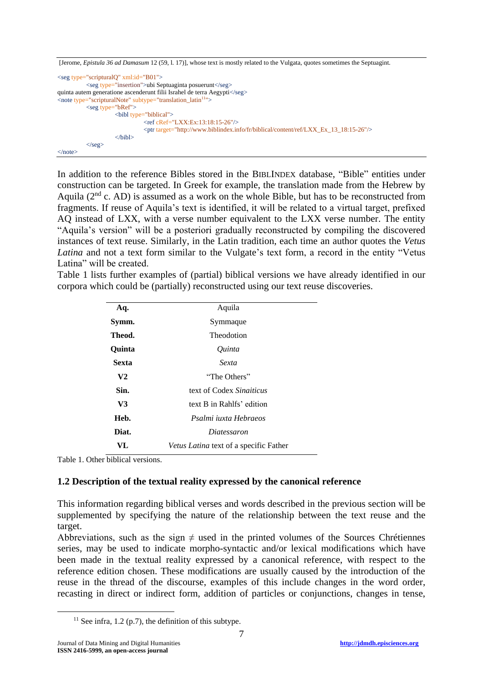```
[Jerome, Epistula 36 ad Damasum 12 (59, l. 17)], whose text is mostly related to the Vulgata, quotes sometimes the Septuagint.
<seg type="scripturalQ" xml:id="B01">
           <seg type="insertion">ubi Septuaginta posuerunt</seg>
quinta autem generatione ascenderunt filii Israhel de terra Aegypti</seg>
<note type="scripturalNote" subtype="translation_latin<sup>11</sup>">
           <seg type="bRef">
                      <bibl type="biblical">
                                 <ref cRef="LXX:Ex:13:18:15-26"/>
                                 <ptr target="http://www.biblindex.info/fr/biblical/content/ref/LXX_Ex_13_18:15-26"/>
                      </bibl>
           \langle/seg>\langlenote\rangle
```
In addition to the reference Bibles stored in the BIBLINDEX database, "Bible" entities under construction can be targeted. In Greek for example, the translation made from the Hebrew by Aquila ( $2<sup>nd</sup>$  c. AD) is assumed as a work on the whole Bible, but has to be reconstructed from fragments. If reuse of Aquila's text is identified, it will be related to a virtual target, prefixed AQ instead of LXX, with a verse number equivalent to the LXX verse number. The entity "Aquila's version" will be a posteriori gradually reconstructed by compiling the discovered instances of text reuse. Similarly, in the Latin tradition, each time an author quotes the *Vetus Latina* and not a text form similar to the Vulgate's text form, a record in the entity "Vetus Latina" will be created.

Table 1 lists further examples of (partial) biblical versions we have already identified in our corpora which could be (partially) reconstructed using our text reuse discoveries.

| Aq.            | Aquila                                        |
|----------------|-----------------------------------------------|
| Symm.          | Symmaque                                      |
| Theod.         | Theodotion                                    |
| Ouinta         | Ouinta                                        |
| Sexta          | Sexta                                         |
| V <sub>2</sub> | "The Others"                                  |
| Sin.           | text of Codex Sinaiticus                      |
| V3             | text B in Rahlfs' edition                     |
| Heb.           | Psalmi juxta Hebraeos                         |
| Diat.          | <i>Diatessaron</i>                            |
| VL             | <i>Vetus Latina</i> text of a specific Father |

Table 1. Other biblical versions.

### **1.2 Description of the textual reality expressed by the canonical reference**

This information regarding biblical verses and words described in the previous section will be supplemented by specifying the nature of the relationship between the text reuse and the target.

Abbreviations, such as the sign  $\neq$  used in the printed volumes of the Sources Chrétiennes series, may be used to indicate morpho-syntactic and/or lexical modifications which have been made in the textual reality expressed by a canonical reference, with respect to the reference edition chosen. These modifications are usually caused by the introduction of the reuse in the thread of the discourse, examples of this include changes in the word order, recasting in direct or indirect form, addition of particles or conjunctions, changes in tense,

 $11$  See infra, 1.2 (p.7), the definition of this subtype.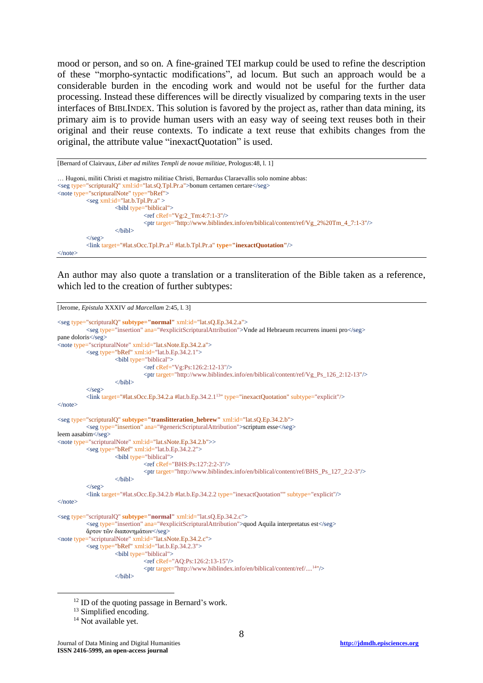mood or person, and so on. A fine-grained TEI markup could be used to refine the description of these "morpho-syntactic modifications", ad locum. But such an approach would be a considerable burden in the encoding work and would not be useful for the further data processing. Instead these differences will be directly visualized by comparing texts in the user interfaces of BIBLINDEX. This solution is favored by the project as, rather than data mining, its primary aim is to provide human users with an easy way of seeing text reuses both in their original and their reuse contexts. To indicate a text reuse that exhibits changes from the original, the attribute value "inexactQuotation" is used.

```
[Bernard of Clairvaux, Liber ad milites Templi de novae militiae, Prologus:48, l. 1]
```

```
… Hugoni, militi Christi et magistro militiae Christi, Bernardus Claraevallis solo nomine abbas:
<seg type="scripturalQ" xml:id="lat.sQ.Tpl.Pr.a">bonum certamen certare</seg>
<note type="scripturalNote" type="bRef">
           \langleseg xml:id="lat.b.Tpl.Pr.a" >
                      <bibl type="biblical">
                                  <ref cRef="Vg:2_Tm:4:7:1-3"/>
                                  <ptr target="http://www.biblindex.info/en/biblical/content/ref/Vg_2%20Tm_4_7:1-3"/>
                      \langlehibl\rangle\langle/seg><link target="#lat.sOcc.Tpl.Pr.a12 #lat.b.Tpl.Pr.a" type="inexactQuotation"/>
\langlenote\rangle
```
An author may also quote a translation or a transliteration of the Bible taken as a reference, which led to the creation of further subtypes:

```
[Jerome, Epistula XXXIV ad Marcellam 2:45, l. 3]
<seg type="scripturalQ" subtype="normal" xml:id="lat.sQ.Ep.34.2.a">
           <seg type="insertion" ana="#explicitScripturalAttribution">Vnde ad Hebraeum recurrens inueni pro</seg>
pane doloris</seg>
<note type="scripturalNote" xml:id="lat.sNote.Ep.34.2.a">
          <seg type="bRef" xml:id="lat.b.Ep.34.2.1">
                      <bibl type="biblical">
                                <ref cRef="Vg:Ps:126:2:12-13"/>
                                 <ptr target="http://www.biblindex.info/en/biblical/content/ref/Vg_Ps_126_2:12-13"/>
                      </bibl>
           \langle/seg>
           <link target="#lat.sOcc.Ep.34.2.a #lat.b.Ep.34.2.113
" type="inexactQuotation" subtype="explicit"/>
</note><seg type="scripturalQ" subtype="translitteration_hebrew" xml:id="lat.sQ.Ep.34.2.b">
           <seg type="insertion" ana="#genericScripturalAttribution">scriptum esse</seg>
leem aasabim</seg>
<note type="scripturalNote" xml:id="lat.sNote.Ep.34.2.b">>
           \langleseg type="bRef" xml:id="lat.b.Ep.34.2.2">
                      <bibl type="biblical">
                                 <ref cRef="BHS:Ps:127:2:2-3"/>
                                 <ptr target="http://www.biblindex.info/en/biblical/content/ref/BHS_Ps_127_2:2-3"/>
                      \epsilon/hihl\epsilon\langle/seg><link target="#lat.sOcc.Ep.34.2.b #lat.b.Ep.34.2.2 type="inexactQuotation"" subtype="explicit"/>
</note>
<seg type="scripturalQ" subtype="normal" xml:id="lat.sQ.Ep.34.2.c">
           <seg type="insertion" ana="#explicitScripturalAttribution">quod Aquila interpretatus est</seg>
           ἄρτον τῶν διαπονημάτων</seg>
<note type="scripturalNote" xml:id="lat.sNote.Ep.34.2.c">
          \langleseg type="bRef" xml:id="lat.b.Ep.34.2.3">
                     <bibl type="biblical">
                                 <ref cRef="AQ:Ps:126:2:13-15"/>
                                 <ptr target="http://www.biblindex.info/en/biblical/content/ref/....<sup>14</sup>"/>
                      \langlehihl>
```
<sup>&</sup>lt;sup>12</sup> ID of the quoting passage in Bernard's work.

<sup>&</sup>lt;sup>13</sup> Simplified encoding.

<sup>&</sup>lt;sup>14</sup> Not available yet.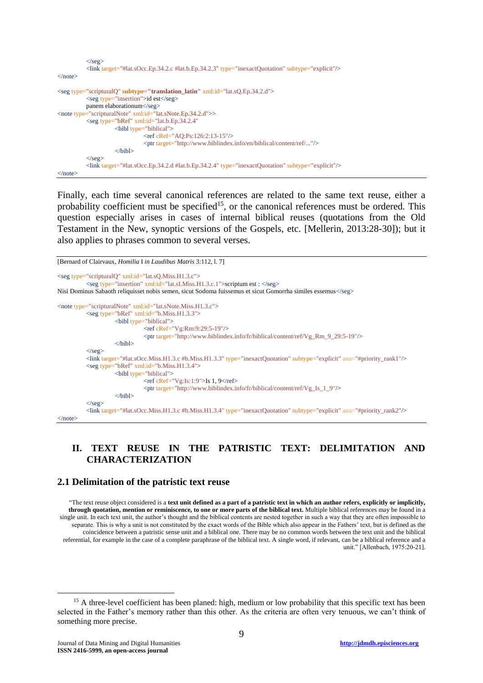```
\langle/seg\rangle<link target="#lat.sOcc.Ep.34.2.c #lat.b.Ep.34.2.3" type="inexactQuotation" subtype="explicit"/>
\langlenote>
<seg type="scripturalQ" subtype="translation_latin" xml:id="lat.sQ.Ep.34.2.d">
           <seg type="insertion">id est</seg>
           panem elaborationum</seg>
<note type="scripturalNote" xml:id="lat.sNote.Ep.34.2.d">>
          <seg type="bRef" xml:id="lat.b.Ep.34.2.4"
                      <bibl type="biblical">
                                 <ref cRef="AQ:Ps:126:2:13-15"/>
                                 <ptr target="http://www.biblindex.info/en/biblical/content/ref/..."/>
                      \langlehihl>
           \langle/seg><link target="#lat.sOcc.Ep.34.2.d #lat.b.Ep.34.2.4" type="inexactQuotation" subtype="explicit"/>
</note>
```
Finally, each time several canonical references are related to the same text reuse, either a probability coefficient must be specified<sup>15</sup>, or the canonical references must be ordered. This question especially arises in cases of internal biblical reuses (quotations from the Old Testament in the New, synoptic versions of the Gospels, etc. [Mellerin, 2013:28-30]); but it also applies to phrases common to several verses.

```
[Bernard of Clairvaux, Homilia I in Laudibus Matris 3:112, l. 7]
<seg type="scripturalQ" xml:id="lat.sQ.Miss.H1.3.c">
           <seg type="insertion" xml:id="lat.sI.Miss.H1.3.c.1">scriptum est : </seg>
Nisi Dominus Sabaoth reliquisset nobis semen, sicut Sodoma fuissemus et sicut Gomorrha similes essemus</seg>
<note type="scripturalNote" xml:id="lat.sNote.Miss.H1.3.c">
           <seg type="bRef" xml:id="b.Miss.H1.3.3">
                      <bibl type="biblical">
                                <ref cRef="Vg:Rm:9:29:5-19"/>
                                 <ptr target="http://www.biblindex.info/fr/biblical/content/ref/Vg_Rm_9_29:5-19"/>
                      </bibl>
           \langle/seg><link target="#lat.sOcc.Miss.H1.3.c #b.Miss.H1.3.3" type="inexactQuotation" subtype="explicit" ana="#priority_rank1"/>
           <seg type="bRef" xml:id="b.Miss.H1.3.4">
                      <bibl type="biblical">
                                 \langleref cRef="Vg:Is:1:9">Is 1, 9\langleref>
                                 <ptr target="http://www.biblindex.info/fr/biblical/content/ref/Vg_Is_1_9"/>
                      </bibl>
           \langle/seg><link target="#lat.sOcc.Miss.H1.3.c #b.Miss.H1.3.4" type="inexactQuotation" subtype="explicit" ana="#priority_rank2"/>
\langlenote\rangle
```
## **II. TEXT REUSE IN THE PATRISTIC TEXT: DELIMITATION AND CHARACTERIZATION**

#### **2.1 Delimitation of the patristic text reuse**

"The text reuse object considered is a **text unit defined as a part of a patristic text in which an author refers, explicitly or implicitly, through quotation, mention or reminiscence, to one or more parts of the biblical text.** Multiple biblical references may be found in a single unit. In each text unit, the author's thought and the biblical contents are nested together in such a way that they are often impossible to separate. This is why a unit is not constituted by the exact words of the Bible which also appear in the Fathers' text, but is defined as the coincidence between a patristic sense unit and a biblical one. There may be no common words between the text unit and the biblical referential, for example in the case of a complete paraphrase of the biblical text. A single word, if relevant, can be a biblical reference and a unit." [Allenbach, 1975:20-21].

<sup>&</sup>lt;sup>15</sup> A three-level coefficient has been planed: high, medium or low probability that this specific text has been selected in the Father's memory rather than this other. As the criteria are often very tenuous, we can't think of something more precise.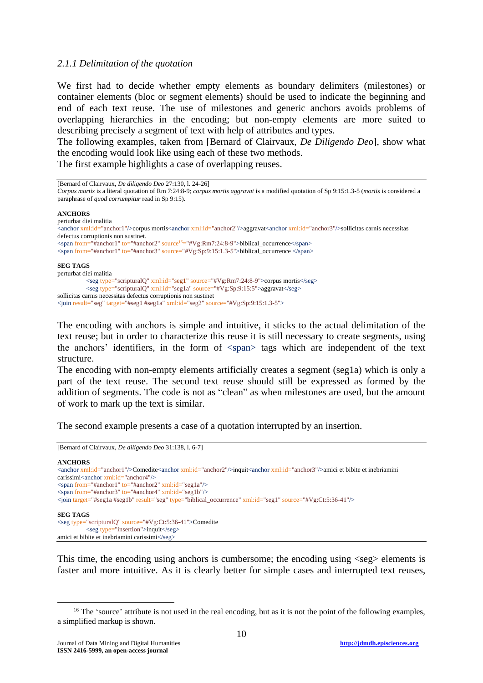### *2.1.1 Delimitation of the quotation*

We first had to decide whether empty elements as boundary delimiters (milestones) or container elements (bloc or segment elements) should be used to indicate the beginning and end of each text reuse. The use of milestones and generic anchors avoids problems of overlapping hierarchies in the encoding; but non-empty elements are more suited to describing precisely a segment of text with help of attributes and types.

The following examples, taken from [Bernard of Clairvaux, *De Diligendo Deo*], show what the encoding would look like using each of these two methods.

The first example highlights a case of overlapping reuses.

| [Bernard of Clairvaux, <i>De diligendo Deo</i> 27:130, 1. 24-26]<br>Corpus mortis is a literal quotation of Rm 7:24:8-9; corpus mortis aggravat is a modified quotation of Sp 9:15:1.3-5 (mortis is considered a<br>paraphrase of <i>quod corrumpitur</i> read in Sp 9:15).                                                  |
|------------------------------------------------------------------------------------------------------------------------------------------------------------------------------------------------------------------------------------------------------------------------------------------------------------------------------|
| <b>ANCHORS</b>                                                                                                                                                                                                                                                                                                               |
| perturbat diei malitia                                                                                                                                                                                                                                                                                                       |
| <anchor xml:id="anchor1"></anchor> corpus mortis <anchor xml:id="anchor2"></anchor> aggravat <anchor xml:id="anchor3"></anchor> sollicitas carnis necessitas                                                                                                                                                                 |
| defectus corruptionis non sustinet.                                                                                                                                                                                                                                                                                          |
| $\leq$ span from="#anchor1" to="#anchor2" source <sup>16</sup> ="#Vg:Rm7:24:8-9">biblical occurrence $\leq$ /span>                                                                                                                                                                                                           |
| $\epsilon$ <span from="#anchor1" source="#Vg:Sp:9:15:1.3-5" to="#anchor3">biblical occurrence <math>\epsilon</math>/span&gt;</span>                                                                                                                                                                                          |
| <b>SEG TAGS</b>                                                                                                                                                                                                                                                                                                              |
| perturbat diei malitia                                                                                                                                                                                                                                                                                                       |
| $\langle \text{seg type}$ "scripturalQ" xml:id="seg1" source="#Vg:Rm7:24:8-9">corpus mortis $\langle \text{seg}\rangle$                                                                                                                                                                                                      |
| $\langle$ seg type="scripturalQ" xml:id="seg1a" source="#Vg:Sp:9:15:5">aggravat $\langle$ /seg>                                                                                                                                                                                                                              |
| sollicitas carnis necessitas defectus corruptionis non sustinet                                                                                                                                                                                                                                                              |
| $\gamma$ is specifier $\gamma$ and $\gamma$ and $\gamma$ and $\gamma$ and $\gamma$ and $\gamma$ and $\gamma$ and $\gamma$ and $\gamma$ and $\gamma$ and $\gamma$ and $\gamma$ and $\gamma$ and $\gamma$ and $\gamma$ and $\gamma$ and $\gamma$ and $\gamma$ and $\gamma$ and $\gamma$ and $\gamma$ and $\gamma$ and $\gamma$ |

The encoding with anchors is simple and intuitive, it sticks to the actual delimitation of the text reuse; but in order to characterize this reuse it is still necessary to create segments, using the anchors' identifiers, in the form of <span> tags which are independent of the text structure.

The encoding with non-empty elements artificially creates a segment (seg1a) which is only a part of the text reuse. The second text reuse should still be expressed as formed by the addition of segments. The code is not as "clean" as when milestones are used, but the amount of work to mark up the text is similar.

The second example presents a case of a quotation interrupted by an insertion.

#### [Bernard of Clairvaux, *De diligendo Deo* 31:138, l. 6-7] **ANCHORS** <anchor xml:id="anchor1"/>Comedite<anchor xml:id="anchor2"/>inquit<anchor xml:id="anchor3"/>amici et bibite et inebriamini carissimi<anchor xml:id="anchor4"/> <span from="#anchor1" to="#anchor2" xml:id="seg1a"/>  $\epsilon$ span from="#anchor3" to="#anchor4" xml:id="seg1b"/> <join target="#seg1a #seg1b" result="seg" type="biblical\_occurrence" xml:id="seg1" source="#Vg:Ct:5:36-41"/> **SEG TAGS** <seg type="scripturalQ" source="#Vg:Ct:5:36-41">Comedite <seg type="insertion">inquit</seg> amici et bibite et inebriamini carissimi</seg>

This time, the encoding using anchors is cumbersome; the encoding using  $\langle$ seg $\rangle$  elements is faster and more intuitive. As it is clearly better for simple cases and interrupted text reuses,

<u>.</u>

 $16$  The 'source' attribute is not used in the real encoding, but as it is not the point of the following examples, a simplified markup is shown.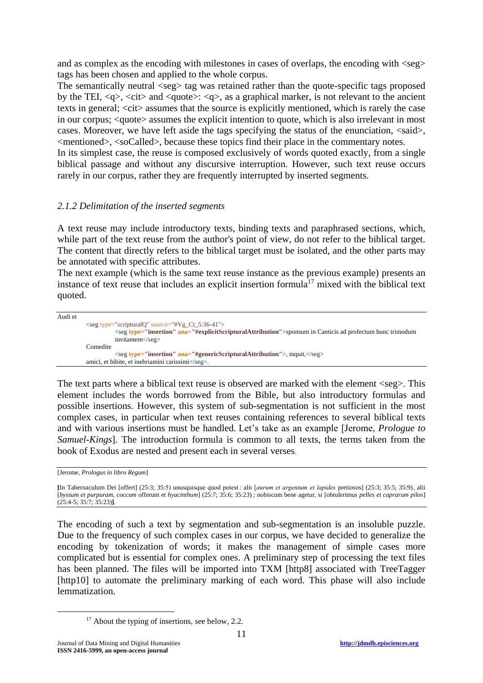and as complex as the encoding with milestones in cases of overlaps, the encoding with  $\langle$ seg> tags has been chosen and applied to the whole corpus.

The semantically neutral  $\langle$ seg $>$ tag was retained rather than the quote-specific tags proposed by the TEI,  $\langle q \rangle$ ,  $\langle \text{cit} \rangle$  and  $\langle \text{quote} \rangle$ :  $\langle q \rangle$ , as a graphical marker, is not relevant to the ancient texts in general; <cit> assumes that the source is explicitly mentioned, which is rarely the case in our corpus; <quote> assumes the explicit intention to quote, which is also irrelevant in most cases. Moreover, we have left aside the tags specifying the status of the enunciation, <said>, <mentioned>, <soCalled>, because these topics find their place in the commentary notes.

In its simplest case, the reuse is composed exclusively of words quoted exactly, from a single biblical passage and without any discursive interruption. However, such text reuse occurs rarely in our corpus, rather they are frequently interrupted by inserted segments.

### *2.1.2 Delimitation of the inserted segments*

A text reuse may include introductory texts, binding texts and paraphrased sections, which, while part of the text reuse from the author's point of view, do not refer to the biblical target. The content that directly refers to the biblical target must be isolated, and the other parts may be annotated with specific attributes.

The next example (which is the same text reuse instance as the previous example) presents an instance of text reuse that includes an explicit insertion formula<sup>17</sup> mixed with the biblical text quoted.

Audi et <seg type="scripturalQ" source="#Vg\_Ct\_5:36-41"> <seg **type="insertion" ana="#explicitScripturalAttribution"**>sponsum in Canticis ad profectum hunc trimodum invitantem</seg> Comedite <seg **type="insertion" ana="#genericScripturalAttribution"**>, inquit,</seg> amici, et bibite, et inebriamini carissimi</seg>.

The text parts where a biblical text reuse is observed are marked with the element  $\langle seg \rangle$ . This element includes the words borrowed from the Bible, but also introductory formulas and possible insertions. However, this system of sub-segmentation is not sufficient in the most complex cases, in particular when text reuses containing references to several biblical texts and with various insertions must be handled. Let's take as an example [Jerome, *Prologue to Samuel-Kings*]*.* The introduction formula is common to all texts, the terms taken from the book of Exodus are nested and present each in several verses.

[Jerome, *Prologus in libro Regum*]

**[**In Tabernaculum Dei [offert] (25:3; 35:5) unusquisque quod potest : alii [*aurum et argentum  et lapides* pretiosos] (25:3; 35:5; 35:9)*,* alii [*byssum et purpuram, coccum* offerunt et *hyacinthum*] (25:7; 35:6; 35:23) *;* nobiscum bene agetur, si [obtulerimus *pelles et caprarum pilos*] (25:4-5; 35:7; 35:23)**]***.*

The encoding of such a text by segmentation and sub-segmentation is an insoluble puzzle. Due to the frequency of such complex cases in our corpus, we have decided to generalize the encoding by tokenization of words; it makes the management of simple cases more complicated but is essential for complex ones. A preliminary step of processing the text files has been planned. The files will be imported into TXM [http8] associated with TreeTagger [http10] to automate the preliminary marking of each word. This phase will also include lemmatization.

<sup>&</sup>lt;sup>17</sup> About the typing of insertions, see below, 2.2.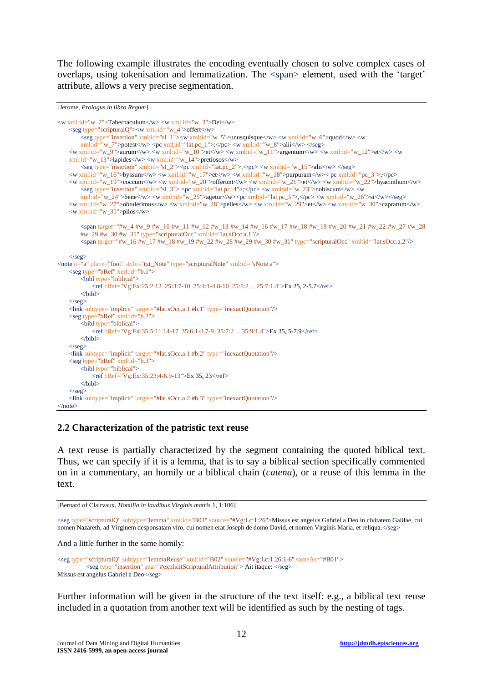The following example illustrates the encoding eventually chosen to solve complex cases of overlaps, using tokenisation and lemmatization. The <span> element, used with the 'target' attribute, allows a very precise segmentation.

```
[Jerome, Prologus in libro Regum]
```

```
<w xml:id="w_2">Tabernaculum</w> <w xml:id="w_3">Dei</w>
    <seg type="scripturalQ"><w xml:id="w_4">offert</w>
        <seg type="insertion" xml:id="sI_1"><w xml:id="w_5">unusquisque</w> <w xml:id="w_6">quod</w> <w
        xml:id="w_7">potest</w> <pc xml:id="lat.pc_1">:</pc> <w xml:id="w_8">alii</w> </seg>
    <w xml:id="w_9">aurum</w> <w xml:id="w_10">et</w> <w xml:id="w_11">argentum</w> <w xml:id="w_12">et</w> <w
   xml:id="w_13">lapides</w> <w xml:id="w_14">pretiosos</w>
        <seg type="insertion" xml:id="sI_2"><pc xml:id="lat.pc_2">,</pc> <w xml:id="w_15">alii</w> </seg>
    <w xml:id="w_16">byssum</w> <w xml:id="w_17">et</w> <w xml:id="w_18">purpuram</w>< pc xml:id="pc_3">,</pc>
   <w xml:id="w_19">coccum</w> <w xml:id="w_20">offerunt</w> <w xml:id="w_21">et</w> <w xml:id="w_22">hyacinthum</w>
       <seg type="insertion" xml:id="sI_3"> <pc xml:id="lat.pc_4">;</pc> <w xml:id="w_23">nobiscum</w> <w
        xml:id="w_24">bene</w> <w xml:id="w_25">agetur</w><pc xml:id="lat.pc_5">,</pc> <w xml:id="w_26">si</w></seg>
    <w xml:id="w_27">obtulerimus</w> <w xml:id="w_28">pelles</w> <w xml:id="w_29">et</w> <w xml:id="w_30">caprarum</w>
   \langle w \rangle xml:id="w_31">pilos\langle w \rangle<span target="#w_4 #w_9 #w_10 #w_11 #w_12 #w_13 #w_14 #w_16 #w_17 #w_18 #w_19 #w_20 #w_21 #w_22 #w_27 #w_28 
        #w_29 #w_30 #w_31" type="scripturalOcc" xml:id="lat.sOcc.a.1"/>
        <span target="#w_16 #w_17 #w_18 #w_19 #w_22 #w_28 #w_29 #w_30 #w_31" type="scripturalOcc" xml:id="lat.sOcc.a.2"/>
   \langle/seg>
<note n="a" place="foot" style="txt_Note" type="scripturalNote" xml:id="sNote.a">
   \leqseg type="bRef" xml:id="b.1">
        <bibl type="biblical">
           <ref cRef="Vg:Ex:25:2:12_25:3:7-10_25:4:1-4.8-10_25:5:2_._25:7:1.4">Ex 25, 2-5.7</ref>
       \langlehihl>
    \langleseg>
    <link subtype="implicit" target="#lat.sOcc.a.1 #b.1" type="inexactQuotation"/>
    <seg type="bRef" xml:id="b.2">
        \frac{1}{2} <br/>biblical">
           <ref cRef="Vg:Ex:35:5:11.14-17_35:6:1-3.7-9_35:7:2_._35:9:1.4">Ex 35, 5-7.9</ref>
        \mathcal{L}/\hbarihl\mathcal{L}\langle/seg><link subtype="implicit" target="#lat.sOcc.a.1 #b.2" type="inexactQuotation"/>
    <seg type="bRef" xml:id="b.3">
        <bibl type="biblical">
           <ref cRef="Vg:Ex:35:23:4-6.9-13">Ex 35, 23</ref>
        \langlehihl>
    \langle/seg>
   <link subtype="implicit" target="#lat.sOcc.a.2 #b.3" type="inexactQuotation"/>
</note>
```
#### **2.2 Characterization of the patristic text reuse**

A text reuse is partially characterized by the segment containing the quoted biblical text. Thus, we can specify if it is a lemma, that is to say a biblical section specifically commented on in a commentary, an homily or a biblical chain (*catena*), or a reuse of this lemma in the text.

```
[Bernard of Clairvaux, Homilia in laudibus Virginis matris 1, 1:106]
```
<seg type="scripturalQ" subtype="lemma" xml:id="B01" source="#Vg:Lc:1:26">Missus est angelus Gabriel a Deo in civitatem Galilae, cui nomen Nazareth, ad Virginem desponsatam viro, cui nomen erat Joseph de domo David, et nomen Virginis Maria, et reliqua. </seg>

And a little further in the same homily:

```
<seg type="scripturalQ" subtype="lemmaReuse" xml:id="B02" source="#Vg:Lc:1:26:1-6" sameAs="#B01">
          <seg type="insertion" ana="#explicitScripturalAttribution"> Ait itaque: </seg>
Missus est angelus Gabriel a Deo</seg>
```
Further information will be given in the structure of the text itself: e.g., a biblical text reuse included in a quotation from another text will be identified as such by the nesting of tags.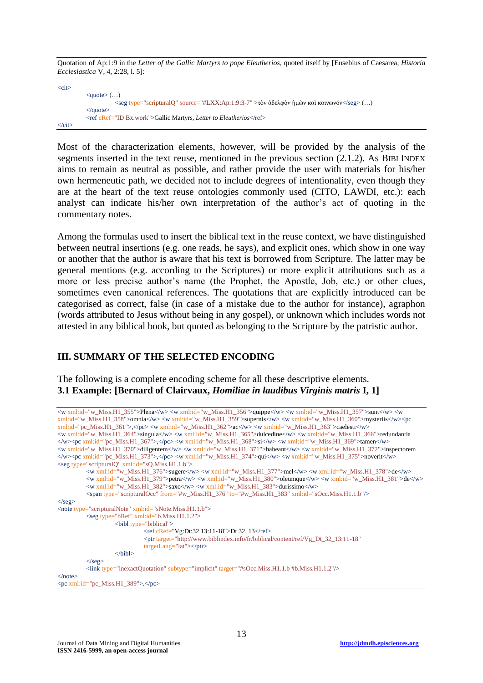Quotation of Ap:1:9 in the *Letter of the Gallic Martyrs to pope Eleutherios*, quoted itself by [Eusebius of Caesarea, *Historia Ecclesiastica* V, 4, 2:28, l. 5]:

| $<$ cit $>$             |                                                                                                                    |
|-------------------------|--------------------------------------------------------------------------------------------------------------------|
|                         | $\langle\text{quote}\rangle$ ()                                                                                    |
|                         | $\langle$ seg type="scripturalΟ" source="#LXX:Ap:1:9:3-7" >τὸν ἀδελφὸν ἡμῶν καὶ κοινωνόν $\langle$ /seg> $(\dots)$ |
|                         | $\langle$ quote $\rangle$                                                                                          |
|                         | $\epsilon$ <ref cref="ID Bx.work">Gallic Martyrs, Letter to Eleutherios<math>\epsilon</math>/ref&gt;</ref>         |
| $\langle$ cit $\rangle$ |                                                                                                                    |

Most of the characterization elements, however, will be provided by the analysis of the segments inserted in the text reuse, mentioned in the previous section (2.1.2). As BIBLINDEX aims to remain as neutral as possible, and rather provide the user with materials for his/her own hermeneutic path, we decided not to include degrees of intentionality, even though they are at the heart of the text reuse ontologies commonly used (CITO, LAWDI, etc.): each analyst can indicate his/her own interpretation of the author's act of quoting in the commentary notes.

Among the formulas used to insert the biblical text in the reuse context, we have distinguished between neutral insertions (e.g. one reads, he says), and explicit ones, which show in one way or another that the author is aware that his text is borrowed from Scripture. The latter may be general mentions (e.g. according to the Scriptures) or more explicit attributions such as a more or less precise author's name (the Prophet, the Apostle, Job, etc.) or other clues, sometimes even canonical references. The quotations that are explicitly introduced can be categorised as correct, false (in case of a mistake due to the author for instance), agraphon (words attributed to Jesus without being in any gospel), or unknown which includes words not attested in any biblical book, but quoted as belonging to the Scripture by the patristic author.

### **III. SUMMARY OF THE SELECTED ENCODING**

The following is a complete encoding scheme for all these descriptive elements. **3.1 Example: [Bernard of Clairvaux,** *Homiliae in laudibus Virginis matris* **I, 1]**

| <w xml:id="w_Miss.H1_355">Plena</w> <w xml:id="w_Miss.H1_356">quippe</w> <w xml:id="w_Miss.H1_357">sunt</w> <w< td=""></w<>                                                    |
|--------------------------------------------------------------------------------------------------------------------------------------------------------------------------------|
| xml:id="w_Miss.H1_358">omnia <w xml:id="w_Miss.H1_359">supernis</w> <w xml:id="w_Miss.H1_360">mysteriis</w> <pc< td=""></pc<>                                                  |
| xml:id="pc_Miss.H1_361">, <w_xml:id="w_miss.h1_362">ac<w_xml:id="w_miss.h1_363">caelesti</w_xml:id="w_miss.h1_363"></w_xml:id="w_miss.h1_362">                                 |
| <w xml:id="w_Miss.H1_364">singula</w> <w xml:id="w_Miss.H1_365">dulcedine</w> <w xml:id="w_Miss.H1_366">redundantia</w>                                                        |
| <pc xml:id="pc_Miss.H1_367">,</pc> <w xml:id="w_Miss.H1_368">si</w> <w xml:id="w_Miss.H1_369">tamen</w>                                                                        |
| <w xml:id="w_Miss.H1_370">diligentem</w> <w xml:id="w_Miss.H1_371">habeant</w> <w xml:id="w_Miss.H1_372">inspectorem</w>                                                       |
| <pc_xml:id="pc_miss.h1_373">,<w_xml:id="w_miss.h1_374">qui<w_xml:id="w_miss.h1_375">noverit</w_xml:id="w_miss.h1_375"></w_xml:id="w_miss.h1_374"></pc_xml:id="pc_miss.h1_373"> |
| $\le$ seg type="scripturalQ" xml:id="sQ.Miss.H1.1.b">                                                                                                                          |
| <w xml:id="w_Miss.H1_376">sugere</w> <w xml:id="w_Miss.H1_377">mel</w> <w xml:id="w_Miss.H1_378">de</w>                                                                        |
| <w xml:id="w_Miss.H1_379">petra</w> <w xml:id="w_Miss.H1_380">oleumque</w> <w xml:id="w_Miss.H1_381">de</w>                                                                    |
| $\langle w \rangle$ xml:id="w_Miss.H1_382">saxo $\langle w \rangle$ $\langle w \rangle$ xml:id="w_Miss.H1_383">durissimo $\langle w \rangle$                                   |
| $\epsilon$ span type="scripturalOcc" from="#w_Miss.H1_376" to="#w_Miss.H1_383" xml:id="sOcc.Miss.H1.1.b"/>                                                                     |
| $\langle$ /seg $>$                                                                                                                                                             |
| <note type="scripturalNote" xml:id="sNote.Miss.H1.1.b"></note>                                                                                                                 |
| $\le$ seg type="bRef" xml:id="b.Miss.H1.1.2">                                                                                                                                  |
| $\lt$ bibl type="biblical">                                                                                                                                                    |
| $\langle$ ref cRef="Vg:Dt:32.13:11-18">Dt 32, 13 $\langle$ ref>                                                                                                                |
| <ptr <="" target="http://www.biblindex.info/fr/biblical/content/ref/Vg_Dt_32_13:11-18" td=""></ptr>                                                                            |
| $targetLang="lat">>/ptr>$                                                                                                                                                      |
| $\langle$ hibl $\rangle$                                                                                                                                                       |
| $\langle$ /seg $>$                                                                                                                                                             |
| $\langle$ link type="inexactQuotation" subtype="implicit" target="#sOcc.Miss.H1.1.b #b.Miss.H1.1.2"/>                                                                          |
| $<$ /note $>$                                                                                                                                                                  |
| $\epsilon$ /pc xml:id="pc_Miss.H1_389">. $\epsilon$ /pc>                                                                                                                       |
|                                                                                                                                                                                |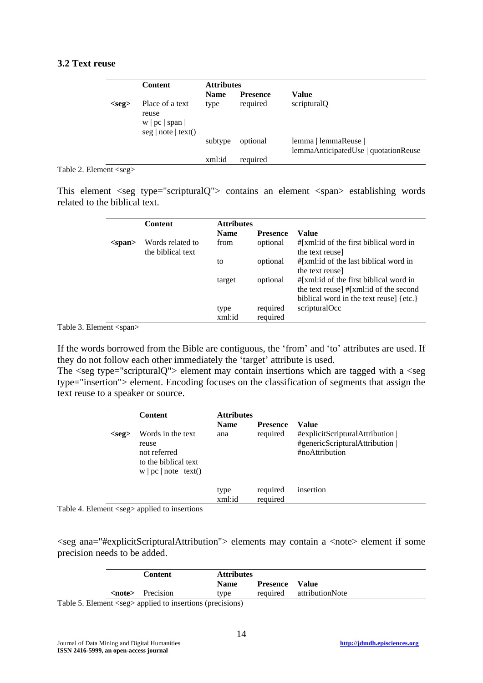### **3.2 Text reuse**

|          | <b>Content</b>                                                                                                             | <b>Attributes</b> |                 |                                                              |
|----------|----------------------------------------------------------------------------------------------------------------------------|-------------------|-----------------|--------------------------------------------------------------|
|          |                                                                                                                            | <b>Name</b>       | <b>Presence</b> | Value                                                        |
| $<$ seg> | Place of a text<br>reuse<br>w   pc   span  <br>$\lceil \text{neg} \rceil \rceil$ note $\lceil \text{text}( \rceil) \rceil$ | type              | required        | scripturalQ                                                  |
|          |                                                                                                                            | subtype           | optional        | lemma   lemmaReuse  <br>lemmaAnticipatedUse   quotationReuse |
|          |                                                                                                                            | xml:id            | required        |                                                              |

Table 2. Element <seg>

This element <seg type="scripturalQ"> contains an element <span> establishing words related to the biblical text.

|              | <b>Content</b>    | <b>Attributes</b> |                 |                                         |
|--------------|-------------------|-------------------|-----------------|-----------------------------------------|
|              |                   | <b>Name</b>       | <b>Presence</b> | Value                                   |
| $<$ span $>$ | Words related to  | from              | optional        | #[xml:id of the first biblical word in  |
|              | the biblical text |                   |                 | the text reuse                          |
|              |                   | to                | optional        | #[xml:id of the last biblical word in   |
|              |                   |                   |                 | the text reuse                          |
|              |                   | target            | optional        | #[xml:id of the first biblical word in  |
|              |                   |                   |                 | the text reuse] #[xml:id of the second  |
|              |                   |                   |                 | biblical word in the text reuse] {etc.} |
|              |                   | type              | required        | scripturalOcc                           |
|              |                   | xml:id            | required        |                                         |

Table 3. Element <span>

If the words borrowed from the Bible are contiguous, the 'from' and 'to' attributes are used. If they do not follow each other immediately the 'target' attribute is used.

The  $\leq$ seg type="scripturalQ"> element may contain insertions which are tagged with a  $\leq$ seg type="insertion"> element. Encoding focuses on the classification of segments that assign the text reuse to a speaker or source.

|             | <b>Content</b>                                                                               | <b>Attributes</b><br><b>Name</b> | <b>Presence</b>      | Value                                                                               |
|-------------|----------------------------------------------------------------------------------------------|----------------------------------|----------------------|-------------------------------------------------------------------------------------|
| $<$ seg $>$ | Words in the text<br>reuse<br>not referred<br>to the biblical text<br>w   pc   note   text() | ana                              | required             | #explicitScripturalAttribution  <br>#genericScripturalAttribution<br>#noAttribution |
|             |                                                                                              | type<br>xml:id                   | required<br>required | insertion                                                                           |

Table 4. Element <seg> applied to insertions

<seg ana="#explicitScripturalAttribution"> elements may contain a <note> element if some precision needs to be added.

|  | <b>Content</b>          | <b>Attributes</b> |          |                          |
|--|-------------------------|-------------------|----------|--------------------------|
|  |                         | <b>Name</b>       | Presence | Value                    |
|  | <note> Precision</note> | type              |          | required attributionNote |

Table 5. Element <seg> applied to insertions (precisions)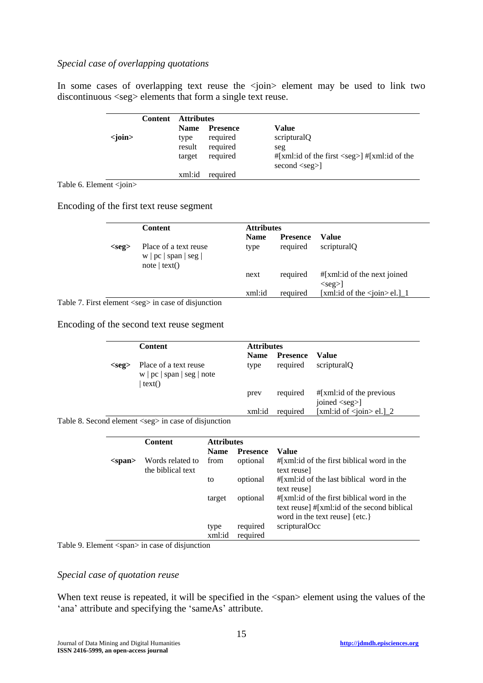## *Special case of overlapping quotations*

In some cases of overlapping text reuse the  $\langle \cdot | \cdot \rangle$  element may be used to link two discontinuous <seg> elements that form a single text reuse.

|                 | Content | Attributes  |                 |                                                                                                                     |
|-----------------|---------|-------------|-----------------|---------------------------------------------------------------------------------------------------------------------|
|                 |         | <b>Name</b> | <b>Presence</b> | Value                                                                                                               |
| $\langle$ join> |         | type        | required        | scripturalQ                                                                                                         |
|                 |         | result      | required        | seg                                                                                                                 |
|                 |         | target      | required        | $\frac{1}{2}$   xml:id of the first <seg> <math>\frac{1}{2}</math>   <math>\frac{1}{2}</math>   xml:id of the</seg> |
|                 |         |             |                 | $second <$ second $\le$ seg>]                                                                                       |
|                 |         | xml:id      | required        |                                                                                                                     |

Table 6. Element <join>

Encoding of the first text reuse segment

|          | <b>Content</b>                                                    | <b>Attributes</b>   |                             |                                                      |
|----------|-------------------------------------------------------------------|---------------------|-----------------------------|------------------------------------------------------|
| $<$ seg> | Place of a text reuse<br>w   pc   span   seg  <br>$note$   text() | <b>Name</b><br>type | <b>Presence</b><br>required | Value<br>scripturalO                                 |
|          |                                                                   | next                | required                    | $\#[xml:id \text{ of the next joined}]$<br>$<$ seg>] |
|          |                                                                   | xml:id              | required                    | [xml:id of the $\langle$ join $>$ el.] 1             |

Table 7. First element <seg> in case of disjunction

Encoding of the second text reuse segment

|             | <b>Content</b>                                                | <b>Attributes</b>   |                             |                                                     |
|-------------|---------------------------------------------------------------|---------------------|-----------------------------|-----------------------------------------------------|
| $<$ seg $>$ | Place of a text reuse<br>w   pc   span   seg   note<br>text() | <b>Name</b><br>type | <b>Presence</b><br>required | Value<br>scripturalO                                |
|             |                                                               | prev                | required                    | $\#[xml:id]$ of the previous<br>joined <seg>]</seg> |
|             |                                                               | xml:id              | required                    | [xml:id of $\langle$ join $>$ el.] 2                |

Table 8. Second element <seg> in case of disjunction

|              | <b>Content</b>                        | <b>Attributes</b> |                      |                                                                                                                                    |
|--------------|---------------------------------------|-------------------|----------------------|------------------------------------------------------------------------------------------------------------------------------------|
|              |                                       | <b>Name</b>       | <b>Presence</b>      | Value                                                                                                                              |
| $<$ span $>$ | Words related to<br>the biblical text | from              | optional             | $#[xml:id]$ of the first biblical word in the<br>text reuse]                                                                       |
|              |                                       | to                | optional             | $\#[xml:id]$ of the last biblical word in the<br>text reuse]                                                                       |
|              |                                       | target            | optional             | $\#[xml:id]$ of the first biblical word in the<br>text reuse] #[xml:id of the second biblical<br>word in the text reuse $\{etc.\}$ |
|              |                                       | type<br>xml:id    | required<br>required | scripturalOcc                                                                                                                      |

Table 9. Element <span> in case of disjunction

### *Special case of quotation reuse*

When text reuse is repeated, it will be specified in the  $\langle span \rangle$  element using the values of the 'ana' attribute and specifying the 'sameAs' attribute.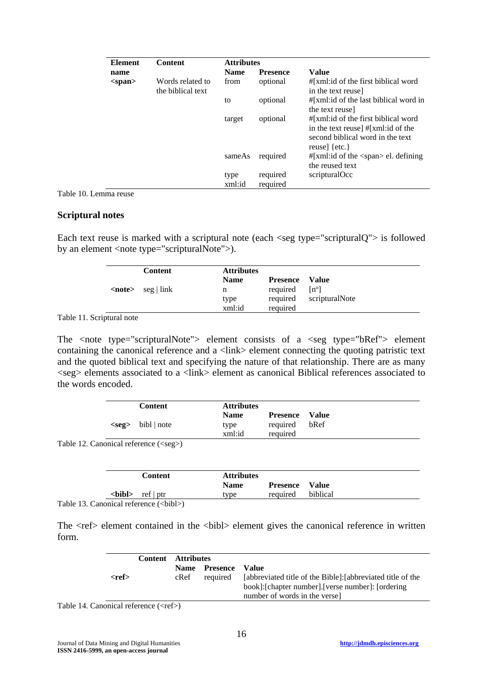| <b>Element</b> | <b>Content</b>                        | <b>Attributes</b> |                      |                                                                                                                                     |
|----------------|---------------------------------------|-------------------|----------------------|-------------------------------------------------------------------------------------------------------------------------------------|
| name           |                                       | <b>Name</b>       | <b>Presence</b>      | Value                                                                                                                               |
| $<$ span $>$   | Words related to<br>the biblical text | from              | optional             | #[xml:id of the first biblical word<br>in the text reuse                                                                            |
|                |                                       | to                | optional             | $\#[xml:id]$ of the last biblical word in<br>the text reuse                                                                         |
|                |                                       | target            | optional             | #[xml:id of the first biblical word<br>in the text reuse # [xml: id of the<br>second biblical word in the text<br>reuse] $\{etc.\}$ |
|                |                                       | sameAs            | required             | $\#[xml:id \text{ of the} <$ span> el. defining<br>the reused text                                                                  |
|                |                                       | type<br>xml:id    | required<br>required | scripturalOcc                                                                                                                       |

Table 10. Lemma reuse

#### **Scriptural notes**

Each text reuse is marked with a scriptural note (each  $\langle$ seg type="scripturalQ" $>$  is followed by an element <note type="scripturalNote">).

|               | <b>Content</b>       | <b>Attributes</b> |                 |                |
|---------------|----------------------|-------------------|-----------------|----------------|
|               |                      | <b>Name</b>       | <b>Presence</b> | – Value        |
| <note></note> | $\sec  \text{link} $ | n                 | required        | $[n^{\circ}]$  |
|               |                      | type              | required        | scripturalNote |
|               |                      | xml:id            | required        |                |

Table 11. Scriptural note

The  $\leq$  tote type="scripturalNote"> element consists of a  $\leq$  eg type="bRef"> element containing the canonical reference and a  $\langle$ link > element connecting the quoting patristic text and the quoted biblical text and specifying the nature of that relationship. There are as many  $\langle$ seg> elements associated to a  $\langle$ link> element as canonical Biblical references associated to the words encoded.

| <b>Content</b>             | <b>Attributes</b>   |                                   |      |
|----------------------------|---------------------|-----------------------------------|------|
| $\langle$ seg> bibl   note | <b>Name</b><br>type | <b>Presence</b> Value<br>required | bRef |
|                            | xml:id              | required                          |      |

Table 12. Canonical reference (<seg>)

| <b>Name</b><br><b>Presence</b> Value |               | <b>Content</b> | <b>Attributes</b> |          |          |
|--------------------------------------|---------------|----------------|-------------------|----------|----------|
|                                      |               |                |                   |          |          |
|                                      | <br>bibl<br>> | ref   ptr      | tvpe              | required | biblical |

Table 13. Canonical reference (<br/>bibl>)

The <ref> element contained in the <br/> <br/> <br/> <br/> <br/>element gives the canonical reference in written form.

|             | <b>Content</b> | Attributes  |          |                                                             |
|-------------|----------------|-------------|----------|-------------------------------------------------------------|
|             |                | <b>Name</b> | Presence | Value                                                       |
| <ref></ref> |                | cRef        | required | [abbreviated title of the Bible]: [abbreviated title of the |
|             |                |             |          | book]:[chapter number].[verse number]: [ordering]           |
|             |                |             |          | number of words in the versel                               |

Table 14. Canonical reference  $(\langle ref \rangle)$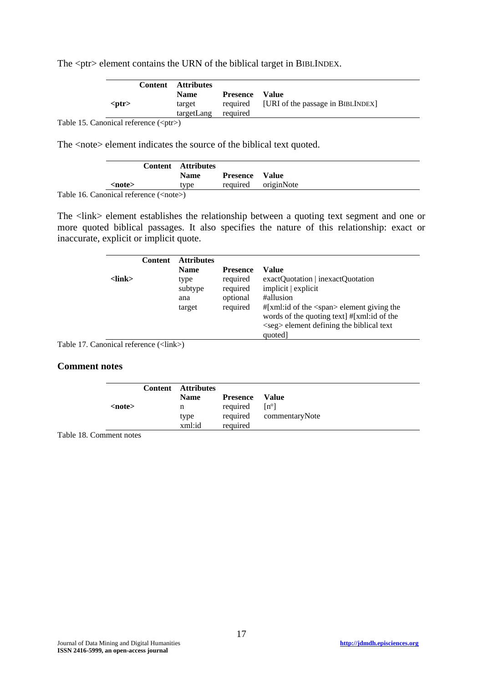The <ptr> element contains the URN of the biblical target in BIBLINDEX.

|             | <b>Content</b> Attributes |                       |                                            |
|-------------|---------------------------|-----------------------|--------------------------------------------|
|             | <b>Name</b>               | <b>Presence</b> Value |                                            |
| $<$ ptr $>$ | target                    |                       | required [URI of the passage in BIBLINDEX] |
|             | targetLang                | required              |                                            |

Table 15. Canonical reference (<ptr>)

The <note> element indicates the source of the biblical text quoted.

|               | <b>Content</b> Attributes |             |                       |                     |
|---------------|---------------------------|-------------|-----------------------|---------------------|
|               |                           | <b>Name</b> | <b>Presence</b> Value |                     |
| <note></note> |                           | tvne        |                       | required originNote |

Table 16. Canonical reference (<note>)

The <link> element establishes the relationship between a quoting text segment and one or more quoted biblical passages. It also specifies the nature of this relationship: exact or inaccurate, explicit or implicit quote.

|         | <b>Content</b> | <b>Attributes</b><br><b>Name</b> | <b>Presence</b> | Value                                                      |
|---------|----------------|----------------------------------|-----------------|------------------------------------------------------------|
| <link/> |                | type                             | required        | exactQuotation   inexactQuotation                          |
|         |                | subtype                          | required        | implicit   explicit                                        |
|         |                | ana                              | optional        | #allusion                                                  |
|         |                | target                           | required        | $\#[xml:id \text{ of the} <$ span> element giving the      |
|         |                |                                  |                 | words of the quoting text] #[xml:id of the                 |
|         |                |                                  |                 | $\langle$ seg $\rangle$ element defining the biblical text |
|         |                |                                  |                 | quoted]                                                    |

Table 17. Canonical reference (<link>)

### **Comment notes**

| <note></note> | <b>Content</b> Attributes<br><b>Name</b><br>n<br>type | Presence<br>required $[n^{\circ}]$ | Value<br>required commentaryNote |
|---------------|-------------------------------------------------------|------------------------------------|----------------------------------|
|               | xml:id                                                | required                           |                                  |

Table 18. Comment notes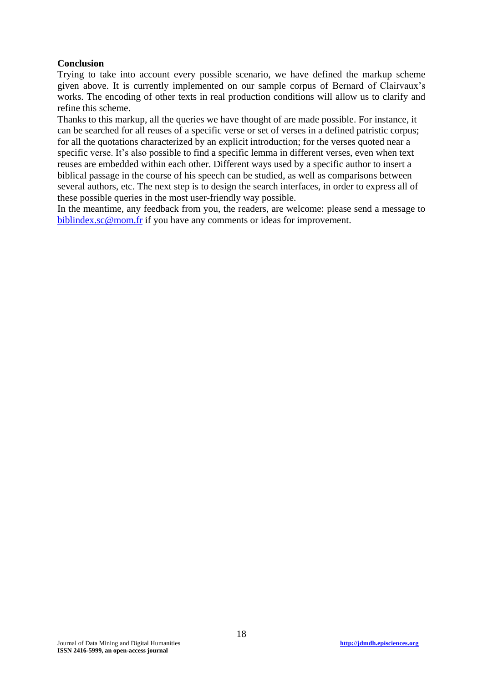### **Conclusion**

Trying to take into account every possible scenario, we have defined the markup scheme given above. It is currently implemented on our sample corpus of Bernard of Clairvaux's works. The encoding of other texts in real production conditions will allow us to clarify and refine this scheme.

Thanks to this markup, all the queries we have thought of are made possible. For instance, it can be searched for all reuses of a specific verse or set of verses in a defined patristic corpus; for all the quotations characterized by an explicit introduction; for the verses quoted near a specific verse. It's also possible to find a specific lemma in different verses, even when text reuses are embedded within each other. Different ways used by a specific author to insert a biblical passage in the course of his speech can be studied, as well as comparisons between several authors, etc. The next step is to design the search interfaces, in order to express all of these possible queries in the most user-friendly way possible.

In the meantime, any feedback from you, the readers, are welcome: please send a message to [biblindex.sc@mom.fr](mailto:biblindex.sc@mom.fr) if you have any comments or ideas for improvement.